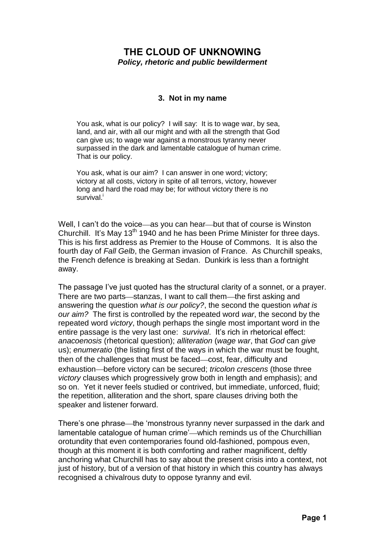## **THE CLOUD OF UNKNOWING** *Policy, rhetoric and public bewilderment*

## **3. Not in my name**

You ask, what is our policy? I will say: It is to wage war, by sea, land, and air, with all our might and with all the strength that God can give us; to wage war against a monstrous tyranny never surpassed in the dark and lamentable catalogue of human crime. That is our policy.

You ask, what is our aim? I can answer in one word; victory; victory at all costs, victory in spite of all terrors, victory, however long and hard the road may be; for without victory there is no survival.<sup>i</sup>

Well, I can't do the voice—as you can hear—but that of course is Winston Churchill. It's May 13<sup>th</sup> 1940 and he has been Prime Minister for three days. This is his first address as Premier to the House of Commons. It is also the fourth day of *Fall Gelb*, the German invasion of France. As Churchill speaks, the French defence is breaking at Sedan. Dunkirk is less than a fortnight away.

The passage I've just quoted has the structural clarity of a sonnet, or a prayer. There are two parts—stanzas, I want to call them—the first asking and answering the question *what is our policy?*, the second the question *what is our aim?* The first is controlled by the repeated word *war*, the second by the repeated word *victory*, though perhaps the single most important word in the entire passage is the very last one: *survival*. It's rich in rhetorical effect: *anacoenosis* (rhetorical question); *alliteration* (*wage war*, that *God* can *give* us); *enumeratio* (the listing first of the ways in which the war must be fought, then of the challenges that must be faced—cost, fear, difficulty and exhaustion before victory can be secured; *tricolon crescens* (those three *victory* clauses which progressively grow both in length and emphasis); and so on. Yet it never feels studied or contrived, but immediate, unforced, fluid; the repetition, alliteration and the short, spare clauses driving both the speaker and listener forward.

There's one phrase—the 'monstrous tyranny never surpassed in the dark and lamentable catalogue of human crime'—which reminds us of the Churchillian orotundity that even contemporaries found old-fashioned, pompous even, though at this moment it is both comforting and rather magnificent, deftly anchoring what Churchill has to say about the present crisis into a context, not just of history, but of a version of that history in which this country has always recognised a chivalrous duty to oppose tyranny and evil.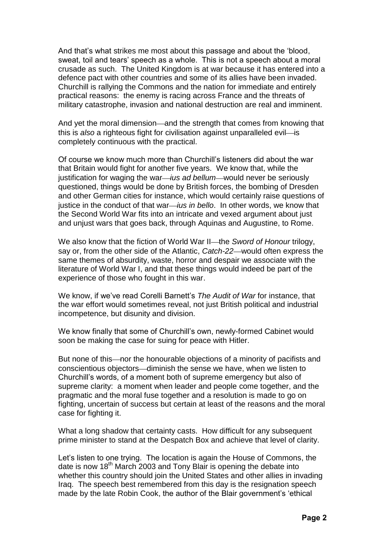And that's what strikes me most about this passage and about the 'blood, sweat, toil and tears' speech as a whole. This is not a speech about a moral crusade as such. The United Kingdom is at war because it has entered into a defence pact with other countries and some of its allies have been invaded. Churchill is rallying the Commons and the nation for immediate and entirely practical reasons: the enemy is racing across France and the threats of military catastrophe, invasion and national destruction are real and imminent.

And yet the moral dimension—and the strength that comes from knowing that this is *also* a righteous fight for civilisation against unparalleled evil—is completely continuous with the practical.

Of course we know much more than Churchill's listeners did about the war that Britain would fight for another five years. We know that, while the justification for waging the war—*ius ad bellum*—would never be seriously questioned, things would be done by British forces, the bombing of Dresden and other German cities for instance, which would certainly raise questions of justice in the conduct of that war—*jus in bello*. In other words, we know that the Second World War fits into an intricate and vexed argument about just and unjust wars that goes back, through Aquinas and Augustine, to Rome.

We also know that the fiction of World War II—the *Sword of Honour* trilogy, say or, from the other side of the Atlantic, *Catch-22*—would often express the same themes of absurdity, waste, horror and despair we associate with the literature of World War I, and that these things would indeed be part of the experience of those who fought in this war.

We know, if we've read Corelli Barnett's *The Audit of War* for instance, that the war effort would sometimes reveal, not just British political and industrial incompetence, but disunity and division.

We know finally that some of Churchill's own, newly-formed Cabinet would soon be making the case for suing for peace with Hitler.

But none of this—nor the honourable objections of a minority of pacifists and conscientious objectors—diminish the sense we have, when we listen to Churchill's words, of a moment both of supreme emergency but also of supreme clarity: a moment when leader and people come together, and the pragmatic and the moral fuse together and a resolution is made to go on fighting, uncertain of success but certain at least of the reasons and the moral case for fighting it.

What a long shadow that certainty casts. How difficult for any subsequent prime minister to stand at the Despatch Box and achieve that level of clarity.

Let's listen to one trying. The location is again the House of Commons, the date is now 18<sup>th</sup> March 2003 and Tony Blair is opening the debate into whether this country should join the United States and other allies in invading Iraq. The speech best remembered from this day is the resignation speech made by the late Robin Cook, the author of the Blair government's 'ethical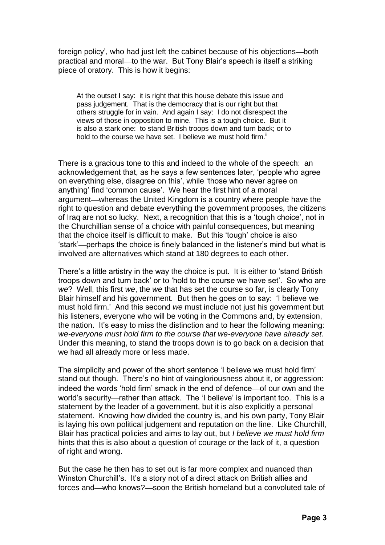foreign policy', who had just left the cabinet because of his objections—both practical and moral—to the war. But Tony Blair's speech is itself a striking piece of oratory. This is how it begins:

At the outset I say: it is right that this house debate this issue and pass judgement. That is the democracy that is our right but that others struggle for in vain. And again I say: I do not disrespect the views of those in opposition to mine. This is a tough choice. But it is also a stark one: to stand British troops down and turn back; or to hold to the course we have set. I believe we must hold firm. $\mathbb{I}$ 

There is a gracious tone to this and indeed to the whole of the speech: an acknowledgement that, as he says a few sentences later, 'people who agree on everything else, disagree on this', while 'those who never agree on anything' find 'common cause'. We hear the first hint of a moral argument—whereas the United Kingdom is a country where people have the right to question and debate everything the government proposes, the citizens of Iraq are not so lucky. Next, a recognition that this is a 'tough choice', not in the Churchillian sense of a choice with painful consequences, but meaning that the choice itself is difficult to make. But this 'tough' choice is also 'stark'—perhaps the choice is finely balanced in the listener's mind but what is involved are alternatives which stand at 180 degrees to each other.

There's a little artistry in the way the choice is put. It is either to 'stand British troops down and turn back' or to 'hold to the course we have set'. So who are *we*? Well, this first *we*, the *we* that has set the course so far, is clearly Tony Blair himself and his government. But then he goes on to say: 'I believe we must hold firm.' And this second *we* must include not just his government but his listeners, everyone who will be voting in the Commons and, by extension, the nation. It's easy to miss the distinction and to hear the following meaning: *we-everyone must hold firm to the course that we-everyone have already set*. Under this meaning, to stand the troops down is to go back on a decision that we had all already more or less made.

The simplicity and power of the short sentence 'I believe we must hold firm' stand out though. There's no hint of vaingloriousness about it, or aggression: indeed the words 'hold firm' smack in the end of defence—of our own and the world's security—rather than attack. The 'I believe' is important too. This is a statement by the leader of a government, but it is also explicitly a personal statement. Knowing how divided the country is, and his own party, Tony Blair is laying his own political judgement and reputation on the line. Like Churchill, Blair has practical policies and aims to lay out, but *I believe we must hold firm* hints that this is also about a question of courage or the lack of it, a question of right and wrong.

But the case he then has to set out is far more complex and nuanced than Winston Churchill's. It's a story not of a direct attack on British allies and forces and—who knows?—soon the British homeland but a convoluted tale of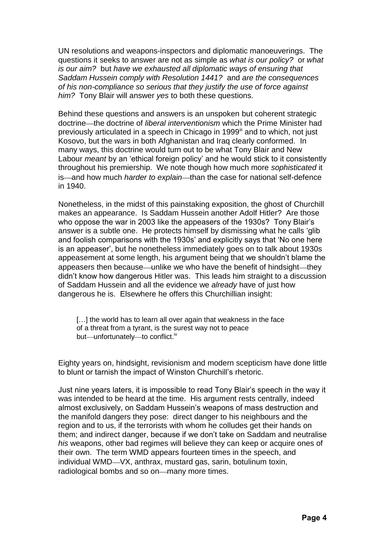UN resolutions and weapons-inspectors and diplomatic manoeuverings. The questions it seeks to answer are not as simple as *what is our policy?* or *what is our aim?* but *have we exhausted all diplomatic ways of ensuring that Saddam Hussein comply with Resolution 1441?* and *are the consequences of his non-compliance so serious that they justify the use of force against him?* Tony Blair will answer *yes* to both these questions.

Behind these questions and answers is an unspoken but coherent strategic doctrine—the doctrine of *liberal interventionism* which the Prime Minister had previously articulated in a speech in Chicago in 1999<sup>ii</sup> and to which, not just Kosovo, but the wars in both Afghanistan and Iraq clearly conformed. In many ways, this doctrine would turn out to be what Tony Blair and New Labour *meant* by an 'ethical foreign policy' and he would stick to it consistently throughout his premiership. We note though how much more *sophisticated* it is—and how much *harder to explain*—than the case for national self-defence in 1940.

Nonetheless, in the midst of this painstaking exposition, the ghost of Churchill makes an appearance. Is Saddam Hussein another Adolf Hitler? Are those who oppose the war in 2003 like the appeasers of the 1930s? Tony Blair's answer is a subtle one. He protects himself by dismissing what he calls 'glib and foolish comparisons with the 1930s' and explicitly says that 'No one here is an appeaser', but he nonetheless immediately goes on to talk about 1930s appeasement at some length, his argument being that we shouldn't blame the appeasers then because—unlike we who have the benefit of hindsight—they didn't know how dangerous Hitler was. This leads him straight to a discussion of Saddam Hussein and all the evidence we *already* have of just how dangerous he is. Elsewhere he offers this Churchillian insight:

[...] the world has to learn all over again that weakness in the face of a threat from a tyrant, is the surest way not to peace but—unfortunately—to conflict.<sup>iv</sup>

Eighty years on, hindsight, revisionism and modern scepticism have done little to blunt or tarnish the impact of Winston Churchill's rhetoric.

Just nine years laters, it is impossible to read Tony Blair's speech in the way it was intended to be heard at the time. His argument rests centrally, indeed almost exclusively, on Saddam Hussein's weapons of mass destruction and the manifold dangers they pose: direct danger to his neighbours and the region and to us, if the terrorists with whom he colludes get their hands on them; and indirect danger, because if we don't take on Saddam and neutralise *his* weapons, other bad regimes will believe they can keep or acquire ones of their own. The term WMD appears fourteen times in the speech, and individual WMD—VX, anthrax, mustard gas, sarin, botulinum toxin, radiological bombs and so on-many more times.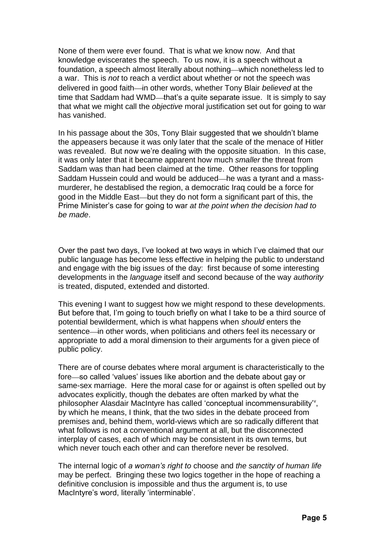None of them were ever found. That is what we know now. And that knowledge eviscerates the speech. To us now, it is a speech without a foundation, a speech almost literally about nothing—which nonetheless led to a war. This is *not* to reach a verdict about whether or not the speech was delivered in good faith—in other words, whether Tony Blair *believed* at the time that Saddam had WMD—that's a quite separate issue. It is simply to say that what we might call the *objective* moral justification set out for going to war has vanished.

In his passage about the 30s, Tony Blair suggested that we shouldn't blame the appeasers because it was only later that the scale of the menace of Hitler was revealed. But now we're dealing with the opposite situation. In this case, it was only later that it became apparent how much *smaller* the threat from Saddam was than had been claimed at the time. Other reasons for toppling Saddam Hussein could and would be adduced—he was a tyrant and a massmurderer, he destablised the region, a democratic Iraq could be a force for good in the Middle East—but they do not form a significant part of this, the Prime Minister's case for going to war *at the point when the decision had to be made*.

Over the past two days, I've looked at two ways in which I've claimed that our public language has become less effective in helping the public to understand and engage with the big issues of the day: first because of some interesting developments in the *language* itself and second because of the way *authority* is treated, disputed, extended and distorted.

This evening I want to suggest how we might respond to these developments. But before that, I'm going to touch briefly on what I take to be a third source of potential bewilderment, which is what happens when *should* enters the sentence—in other words, when politicians and others feel its necessary or appropriate to add a moral dimension to their arguments for a given piece of public policy.

There are of course debates where moral argument is characteristically to the fore so called 'values' issues like abortion and the debate about gay or same-sex marriage. Here the moral case for or against is often spelled out by advocates explicitly, though the debates are often marked by what the philosopher Alasdair MacIntyre has called 'conceptual incommensurability'<sup>v</sup>, by which he means, I think, that the two sides in the debate proceed from premises and, behind them, world-views which are so radically different that what follows is not a conventional argument at all, but the disconnected interplay of cases, each of which may be consistent in its own terms, but which never touch each other and can therefore never be resolved.

The internal logic of *a woman's right to* choose and *the sanctity of human life* may be perfect. Bringing these two logics together in the hope of reaching a definitive conclusion is impossible and thus the argument is, to use MacIntyre's word, literally 'interminable'.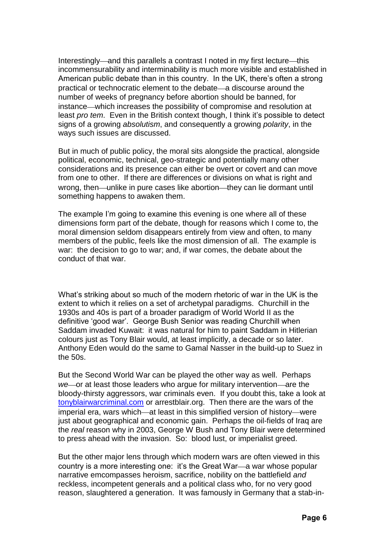Interestingly—and this parallels a contrast I noted in my first lecture—this incommensurability and interminability is much more visible and established in American public debate than in this country. In the UK, there's often a strong practical or technocratic element to the debate—a discourse around the number of weeks of pregnancy before abortion should be banned, for instance which increases the possibility of compromise and resolution at least *pro tem*. Even in the British context though, I think it's possible to detect signs of a growing *absolutism*, and consequently a growing *polarity*, in the ways such issues are discussed.

But in much of public policy, the moral sits alongside the practical, alongside political, economic, technical, geo-strategic and potentially many other considerations and its presence can either be overt or covert and can move from one to other. If there are differences or divisions on what is right and wrong, then—unlike in pure cases like abortion—they can lie dormant until something happens to awaken them.

The example I'm going to examine this evening is one where all of these dimensions form part of the debate, though for reasons which I come to, the moral dimension seldom disappears entirely from view and often, to many members of the public, feels like the most dimension of all. The example is war: the decision to go to war; and, if war comes, the debate about the conduct of that war.

What's striking about so much of the modern rhetoric of war in the UK is the extent to which it relies on a set of archetypal paradigms. Churchill in the 1930s and 40s is part of a broader paradigm of World World II as the definitive 'good war'. George Bush Senior was reading Churchill when Saddam invaded Kuwait: it was natural for him to paint Saddam in Hitlerian colours just as Tony Blair would, at least implicitly, a decade or so later. Anthony Eden would do the same to Gamal Nasser in the build-up to Suez in the 50s.

But the Second World War can be played the other way as well. Perhaps we or at least those leaders who argue for military intervention—are the bloody-thirsty aggressors, war criminals even. If you doubt this, take a look at [tonyblairwarcriminal.com](http://www.tonyblairwarcriminal.com/) or arrestblair.org. Then there are the wars of the imperial era, wars which—at least in this simplified version of history—were just about geographical and economic gain. Perhaps the oil-fields of Iraq are the *real* reason why in 2003, George W Bush and Tony Blair were determined to press ahead with the invasion. So: blood lust, or imperialist greed.

But the other major lens through which modern wars are often viewed in this country is a more interesting one: it's the Great War—a war whose popular narrative emcompasses heroism, sacrifice, nobility on the battlefield *and* reckless, incompetent generals and a political class who, for no very good reason, slaughtered a generation. It was famously in Germany that a stab-in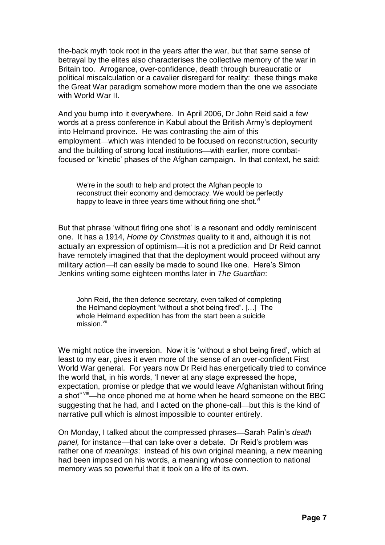the-back myth took root in the years after the war, but that same sense of betrayal by the elites also characterises the collective memory of the war in Britain too. Arrogance, over-confidence, death through bureaucratic or political miscalculation or a cavalier disregard for reality: these things make the Great War paradigm somehow more modern than the one we associate with World War II.

And you bump into it everywhere. In April 2006, Dr John Reid said a few words at a press conference in Kabul about the British Army's deployment into Helmand province. He was contrasting the aim of this employment—which was intended to be focused on reconstruction, security and the building of strong local institutions—with earlier, more combatfocused or 'kinetic' phases of the Afghan campaign. In that context, he said:

We're in the south to help and protect the Afghan people to reconstruct their economy and democracy. We would be perfectly happy to leave in three years time without firing one shot.<sup>vi</sup>

But that phrase 'without firing one shot' is a resonant and oddly reminiscent one. It has a 1914, *Home by Christmas* quality to it and, although it is not actually an expression of optimism-it is not a prediction and Dr Reid cannot have remotely imagined that that the deployment would proceed without any military action—it can easily be made to sound like one. Here's Simon Jenkins writing some eighteen months later in *The Guardian*:

John Reid, the then defence secretary, even talked of completing the Helmand deployment "without a shot being fired". […] The whole Helmand expedition has from the start been a suicide mission.<sup>vii</sup>

We might notice the inversion. Now it is 'without a shot being fired', which at least to my ear, gives it even more of the sense of an over-confident First World War general. For years now Dr Reid has energetically tried to convince the world that, in his words, 'I never at any stage expressed the hope, expectation, promise or pledge that we would leave Afghanistan without firing a shot" viii—he once phoned me at home when he heard someone on the BBC suggesting that he had, and I acted on the phone-call—but this is the kind of narrative pull which is almost impossible to counter entirely.

On Monday, I talked about the compressed phrases—Sarah Palin's *death panel,* for instance—that can take over a debate. Dr Reid's problem was rather one of *meanings*: instead of his own original meaning, a new meaning had been imposed on his words, a meaning whose connection to national memory was so powerful that it took on a life of its own.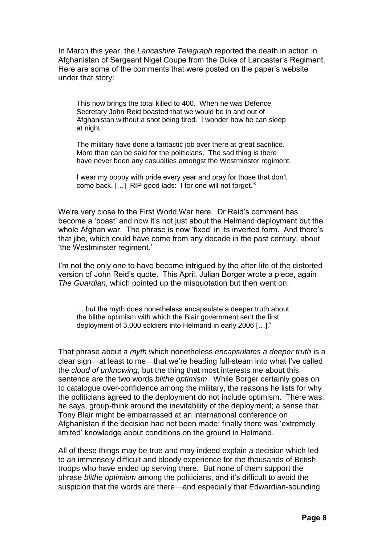In March this year, the *Lancashire Telegraph* reported the death in action in Afghanistan of Sergeant Nigel Coupe from the Duke of Lancaster's Regiment. Here are some of the comments that were posted on the paper's website under that story:

This now brings the total killed to 400. When he was Defence Secretary John Reid boasted that we would be in and out of Afghanistan without a shot being fired. I wonder how he can sleep at night.

The military have done a fantastic job over there at great sacrifice. More than can be said for the politicians. The sad thing is there have never been any casualties amongst the Westminster regiment.

I wear my poppy with pride every year and pray for those that don't come back. [...] RIP good lads: I for one will not forget.<sup>ix</sup>

We're very close to the First World War here. Dr Reid's comment has become a 'boast' and now it's not just about the Helmand deployment but the whole Afghan war. The phrase is now 'fixed' in its inverted form. And there's that jibe, which could have come from any decade in the past century, about 'the Westminster regiment.'

I'm not the only one to have become intrigued by the after-life of the distorted version of John Reid's quote. This April, Julian Borger wrote a piece, again *The Guardian*, which pointed up the misquotation but then went on:

… but the myth does nonetheless encapsulate a deeper truth about the blithe optimism with which the Blair government sent the first deployment of 3,000 soldiers into Helmand in early 2006  $[...]^x$ 

That phrase about a *myth* which nonetheless *encapsulates a deeper truth* is a clear sign—at least to me—that we're heading full-steam into what I've called the *cloud of unknowing*, but the thing that most interests me about this sentence are the two words *blithe optimism*. While Borger certainly goes on to catalogue over-confidence among the military, the reasons he lists for why the politicians agreed to the deployment do not include optimism. There was, he says, group-think around the inevitability of the deployment; a sense that Tony Blair might be embarrassed at an international conference on Afghanistan if the decision had not been made; finally there was 'extremely limited' knowledge about conditions on the ground in Helmand.

All of these things may be true and may indeed explain a decision which led to an immensely difficult and bloody experience for the thousands of British troops who have ended up serving there. But none of them support the phrase *blithe optimism* among the politicians, and it's difficult to avoid the suspicion that the words are there—and especially that Edwardian-sounding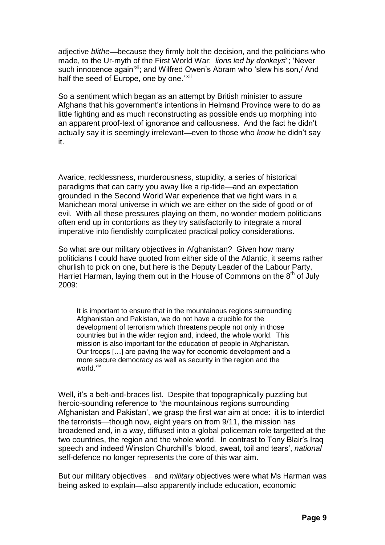adjective *blithe* because they firmly bolt the decision, and the politicians who made, to the Ur-myth of the First World War: *lions led by donkeys*<sup>xi</sup>; 'Never' such innocence again<sup>'xii</sup>; and Wilfred Owen's Abram who 'slew his son,/ And half the seed of Europe, one by one.' xiii

So a sentiment which began as an attempt by British minister to assure Afghans that his government's intentions in Helmand Province were to do as little fighting and as much reconstructing as possible ends up morphing into an apparent proof-text of ignorance and callousness. And the fact he didn't actually say it is seemingly irrelevant—even to those who *know* he didn't say it.

Avarice, recklessness, murderousness, stupidity, a series of historical paradigms that can carry you away like a rip-tide—and an expectation grounded in the Second World War experience that we fight wars in a Manichean moral universe in which we are either on the side of good or of evil. With all these pressures playing on them, no wonder modern politicians often end up in contortions as they try satisfactorily to integrate a moral imperative into fiendishly complicated practical policy considerations.

So what *are* our military objectives in Afghanistan? Given how many politicians I could have quoted from either side of the Atlantic, it seems rather churlish to pick on one, but here is the Deputy Leader of the Labour Party, Harriet Harman, laying them out in the House of Commons on the  $8<sup>th</sup>$  of July 2009:

It is important to ensure that in the mountainous regions surrounding Afghanistan and Pakistan, we do not have a crucible for the development of terrorism which threatens people not only in those countries but in the wider region and, indeed, the whole world. This mission is also important for the education of people in Afghanistan. Our troops […] are paving the way for economic development and a more secure democracy as well as security in the region and the world.<sup>xiv</sup>

Well, it's a belt-and-braces list. Despite that topographically puzzling but heroic-sounding reference to 'the mountainous regions surrounding Afghanistan and Pakistan', we grasp the first war aim at once: it is to interdict the terrorists—though now, eight years on from 9/11, the mission has broadened and, in a way, diffused into a global policeman role targetted at the two countries, the region and the whole world. In contrast to Tony Blair's Iraq speech and indeed Winston Churchill's 'blood, sweat, toil and tears', *national* self-defence no longer represents the core of this war aim.

But our military objectives—and *military* objectives were what Ms Harman was being asked to explain—also apparently include education, economic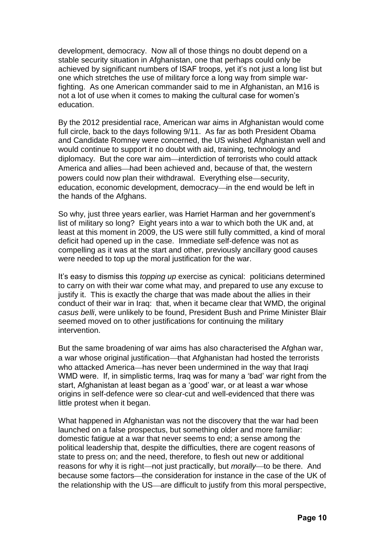development, democracy. Now all of those things no doubt depend on a stable security situation in Afghanistan, one that perhaps could only be achieved by significant numbers of ISAF troops, yet it's not just a long list but one which stretches the use of military force a long way from simple warfighting. As one American commander said to me in Afghanistan, an M16 is not a lot of use when it comes to making the cultural case for women's education.

By the 2012 presidential race, American war aims in Afghanistan would come full circle, back to the days following 9/11. As far as both President Obama and Candidate Romney were concerned, the US wished Afghanistan well and would continue to support it no doubt with aid, training, technology and diplomacy. But the core war aim-interdiction of terrorists who could attack America and allies—had been achieved and, because of that, the western powers could now plan their withdrawal. Everything else-security, education, economic development, democracy—in the end would be left in the hands of the Afghans.

So why, just three years earlier, was Harriet Harman and her government's list of military so long? Eight years into a war to which both the UK and, at least at this moment in 2009, the US were still fully committed, a kind of moral deficit had opened up in the case. Immediate self-defence was not as compelling as it was at the start and other, previously ancillary good causes were needed to top up the moral justification for the war.

It's easy to dismiss this *topping up* exercise as cynical: politicians determined to carry on with their war come what may, and prepared to use any excuse to justify it. This is exactly the charge that was made about the allies in their conduct of their war in Iraq: that, when it became clear that WMD, the original *casus belli*, were unlikely to be found, President Bush and Prime Minister Blair seemed moved on to other justifications for continuing the military intervention.

But the same broadening of war aims has also characterised the Afghan war, a war whose original justification—that Afghanistan had hosted the terrorists who attacked America—has never been undermined in the way that Iraqi WMD were. If, in simplistic terms, Iraq was for many a 'bad' war right from the start, Afghanistan at least began as a 'good' war, or at least a war whose origins in self-defence were so clear-cut and well-evidenced that there was little protest when it began.

What happened in Afghanistan was not the discovery that the war had been launched on a false prospectus, but something older and more familiar: domestic fatigue at a war that never seems to end; a sense among the political leadership that, despite the difficulties, there are cogent reasons of state to press on; and the need, therefore, to flesh out new or additional reasons for why it is right—not just practically, but *morally*—to be there. And because some factors—the consideration for instance in the case of the UK of the relationship with the US—are difficult to justify from this moral perspective,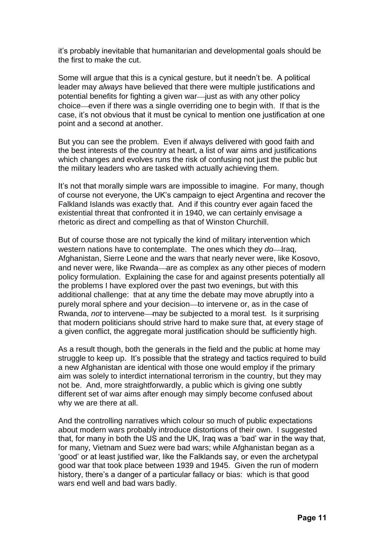it's probably inevitable that humanitarian and developmental goals should be the first to make the cut.

Some will argue that this is a cynical gesture, but it needn't be. A political leader may *always* have believed that there were multiple justifications and potential benefits for fighting a given war—just as with any other policy choice even if there was a single overriding one to begin with. If that is the case, it's not obvious that it must be cynical to mention one justification at one point and a second at another.

But you can see the problem. Even if always delivered with good faith and the best interests of the country at heart, a list of war aims and justifications which changes and evolves runs the risk of confusing not just the public but the military leaders who are tasked with actually achieving them.

It's not that morally simple wars are impossible to imagine. For many, though of course not everyone, the UK's campaign to eject Argentina and recover the Falkland Islands was exactly that. And if this country ever again faced the existential threat that confronted it in 1940, we can certainly envisage a rhetoric as direct and compelling as that of Winston Churchill.

But of course those are not typically the kind of military intervention which western nations have to contemplate. The ones which they *do*—Iraq, Afghanistan, Sierre Leone and the wars that nearly never were, like Kosovo, and never were, like Rwanda—are as complex as any other pieces of modern policy formulation. Explaining the case for and against presents potentially all the problems I have explored over the past two evenings, but with this additional challenge: that at any time the debate may move abruptly into a purely moral sphere and your decision—to intervene or, as in the case of Rwanda, *not* to intervene—may be subjected to a moral test. Is it surprising that modern politicians should strive hard to make sure that, at every stage of a given conflict, the aggregate moral justification should be sufficiently high.

As a result though, both the generals in the field and the public at home may struggle to keep up. It's possible that the strategy and tactics required to build a new Afghanistan are identical with those one would employ if the primary aim was solely to interdict international terrorism in the country, but they may not be. And, more straightforwardly, a public which is giving one subtly different set of war aims after enough may simply become confused about why we are there at all.

And the controlling narratives which colour so much of public expectations about modern wars probably introduce distortions of their own. I suggested that, for many in both the US and the UK, Iraq was a 'bad' war in the way that, for many, Vietnam and Suez were bad wars; while Afghanistan began as a 'good' or at least justified war, like the Falklands say, or even the archetypal good war that took place between 1939 and 1945. Given the run of modern history, there's a danger of a particular fallacy or bias: which is that good wars end well and bad wars badly.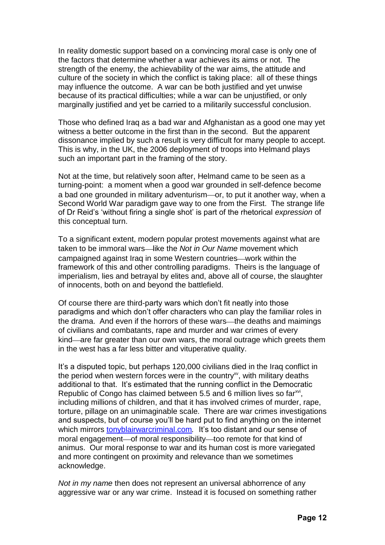In reality domestic support based on a convincing moral case is only one of the factors that determine whether a war achieves its aims or not. The strength of the enemy, the achievability of the war aims, the attitude and culture of the society in which the conflict is taking place: all of these things may influence the outcome. A war can be both justified and yet unwise because of its practical difficulties; while a war can be unjustified, or only marginally justified and yet be carried to a militarily successful conclusion.

Those who defined Iraq as a bad war and Afghanistan as a good one may yet witness a better outcome in the first than in the second. But the apparent dissonance implied by such a result is very difficult for many people to accept. This is why, in the UK, the 2006 deployment of troops into Helmand plays such an important part in the framing of the story.

Not at the time, but relatively soon after, Helmand came to be seen as a turning-point: a moment when a good war grounded in self-defence become a bad one grounded in military adventurism-or, to put it another way, when a Second World War paradigm gave way to one from the First. The strange life of Dr Reid's 'without firing a single shot' is part of the rhetorical *expression* of this conceptual turn.

To a significant extent, modern popular protest movements against what are taken to be immoral wars—like the *Not in Our Name* movement which campaigned against Irag in some Western countries—work within the framework of this and other controlling paradigms. Theirs is the language of imperialism, lies and betrayal by elites and, above all of course, the slaughter of innocents, both on and beyond the battlefield.

Of course there are third-party wars which don't fit neatly into those paradigms and which don't offer characters who can play the familiar roles in the drama. And even if the horrors of these wars—the deaths and maimings of civilians and combatants, rape and murder and war crimes of every kind—are far greater than our own wars, the moral outrage which greets them in the west has a far less bitter and vituperative quality.

It's a disputed topic, but perhaps 120,000 civilians died in the Iraq conflict in the period when western forces were in the country $\alpha$ , with military deaths additional to that. It's estimated that the running conflict in the Democratic Republic of Congo has claimed between 5.5 and 6 million lives so far $x^{i}$ , including millions of children, and that it has involved crimes of murder, rape, torture, pillage on an unimaginable scale. There are war crimes investigations and suspects, but of course you'll be hard put to find anything on the internet which mirrors [tonyblairwarcriminal.com](http://www.tonyblairwarcriminal.com/). It's too distant and our sense of moral engagement-of moral responsibility-too remote for that kind of animus. Our moral response to war and its human cost is more variegated and more contingent on proximity and relevance than we sometimes acknowledge.

*Not in my name* then does not represent an universal abhorrence of any aggressive war or any war crime. Instead it is focused on something rather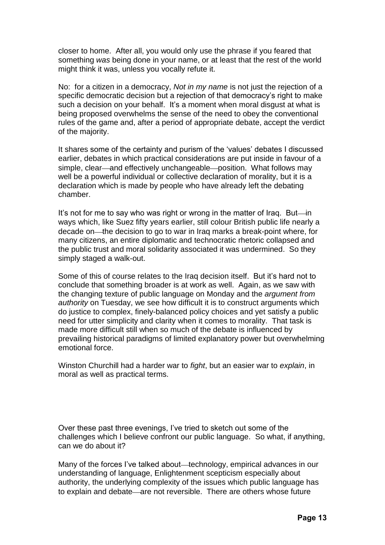closer to home. After all, you would only use the phrase if you feared that something *was* being done in your name, or at least that the rest of the world might think it was, unless you vocally refute it.

No: for a citizen in a democracy, *Not in my name* is not just the rejection of a specific democratic decision but a rejection of that democracy's right to make such a decision on your behalf. It's a moment when moral disgust at what is being proposed overwhelms the sense of the need to obey the conventional rules of the game and, after a period of appropriate debate, accept the verdict of the majority.

It shares some of the certainty and purism of the 'values' debates I discussed earlier, debates in which practical considerations are put inside in favour of a simple, clear—and effectively unchangeable—position. What follows may well be a powerful individual or collective declaration of morality, but it is a declaration which is made by people who have already left the debating chamber.

It's not for me to say who was right or wrong in the matter of Iraq. But-in ways which, like Suez fifty years earlier, still colour British public life nearly a decade on—the decision to go to war in Iraq marks a break-point where, for many citizens, an entire diplomatic and technocratic rhetoric collapsed and the public trust and moral solidarity associated it was undermined. So they simply staged a walk-out.

Some of this of course relates to the Iraq decision itself. But it's hard not to conclude that something broader is at work as well. Again, as we saw with the changing texture of public language on Monday and the *argument from authority* on Tuesday, we see how difficult it is to construct arguments which do justice to complex, finely-balanced policy choices and yet satisfy a public need for utter simplicity and clarity when it comes to morality. That task is made more difficult still when so much of the debate is influenced by prevailing historical paradigms of limited explanatory power but overwhelming emotional force.

Winston Churchill had a harder war to *fight*, but an easier war to *explain*, in moral as well as practical terms.

Over these past three evenings, I've tried to sketch out some of the challenges which I believe confront our public language. So what, if anything, can we do about it?

Many of the forces I've talked about—technology, empirical advances in our understanding of language, Enlightenment scepticism especially about authority, the underlying complexity of the issues which public language has to explain and debate—are not reversible. There are others whose future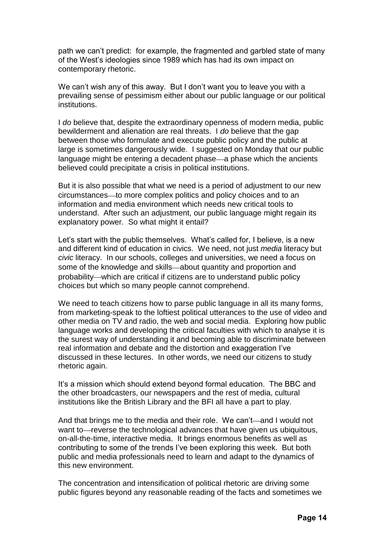path we can't predict: for example, the fragmented and garbled state of many of the West's ideologies since 1989 which has had its own impact on contemporary rhetoric.

We can't wish any of this away. But I don't want you to leave you with a prevailing sense of pessimism either about our public language or our political institutions.

I *do* believe that, despite the extraordinary openness of modern media, public bewilderment and alienation are real threats. I *do* believe that the gap between those who formulate and execute public policy and the public at large is sometimes dangerously wide. I suggested on Monday that our public language might be entering a decadent phase—a phase which the ancients believed could precipitate a crisis in political institutions.

But it is also possible that what we need is a period of adjustment to our new circumstances—to more complex politics and policy choices and to an information and media environment which needs new critical tools to understand. After such an adjustment, our public language might regain its explanatory power. So what might it entail?

Let's start with the public themselves. What's called for, I believe, is a new and different kind of education in civics. We need, not just *media* literacy but *civic* literacy. In our schools, colleges and universities, we need a focus on some of the knowledge and skills—about quantity and proportion and probability—which are critical if citizens are to understand public policy choices but which so many people cannot comprehend.

We need to teach citizens how to parse public language in all its many forms, from marketing-speak to the loftiest political utterances to the use of video and other media on TV and radio, the web and social media. Exploring how public language works and developing the critical faculties with which to analyse it is the surest way of understanding it and becoming able to discriminate between real information and debate and the distortion and exaggeration I've discussed in these lectures. In other words, we need our citizens to study rhetoric again.

It's a mission which should extend beyond formal education. The BBC and the other broadcasters, our newspapers and the rest of media, cultural institutions like the British Library and the BFI all have a part to play.

And that brings me to the media and their role. We can't—and I would not want to—reverse the technological advances that have given us ubiquitous, on-all-the-time, interactive media. It brings enormous benefits as well as contributing to some of the trends I've been exploring this week. But both public and media professionals need to learn and adapt to the dynamics of this new environment.

The concentration and intensification of political rhetoric are driving some public figures beyond any reasonable reading of the facts and sometimes we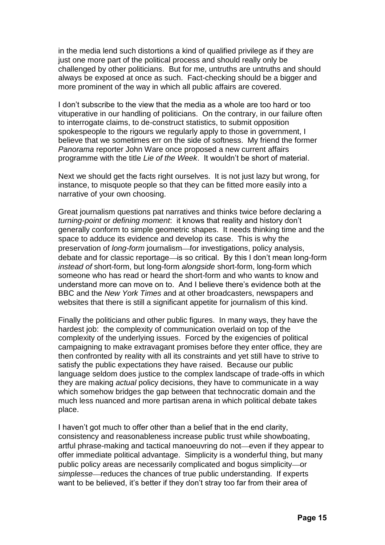in the media lend such distortions a kind of qualified privilege as if they are just one more part of the political process and should really only be challenged by other politicians. But for me, untruths are untruths and should always be exposed at once as such. Fact-checking should be a bigger and more prominent of the way in which all public affairs are covered.

I don't subscribe to the view that the media as a whole are too hard or too vituperative in our handling of politicians. On the contrary, in our failure often to interrogate claims, to de-construct statistics, to submit opposition spokespeople to the rigours we regularly apply to those in government, I believe that we sometimes err on the side of softness. My friend the former *Panorama* reporter John Ware once proposed a new current affairs programme with the title *Lie of the Week*. It wouldn't be short of material.

Next we should get the facts right ourselves. It is not just lazy but wrong, for instance, to misquote people so that they can be fitted more easily into a narrative of your own choosing.

Great journalism questions pat narratives and thinks twice before declaring a *turning-point* or *defining moment*: it knows that reality and history don't generally conform to simple geometric shapes. It needs thinking time and the space to adduce its evidence and develop its case. This is why the preservation of *long-form* journalism—for investigations, policy analysis, debate and for classic reportage-is so critical. By this I don't mean long-form *instead of* short-form, but long-form *alongside* short-form, long-form which someone who has read or heard the short-form and who wants to know and understand more can move on to. And I believe there's evidence both at the BBC and the *New York Times* and at other broadcasters, newspapers and websites that there is still a significant appetite for journalism of this kind.

Finally the politicians and other public figures. In many ways, they have the hardest job: the complexity of communication overlaid on top of the complexity of the underlying issues. Forced by the exigencies of political campaigning to make extravagant promises before they enter office, they are then confronted by reality with all its constraints and yet still have to strive to satisfy the public expectations they have raised. Because our public language seldom does justice to the complex landscape of trade-offs in which they are making *actual* policy decisions, they have to communicate in a way which somehow bridges the gap between that technocratic domain and the much less nuanced and more partisan arena in which political debate takes place.

I haven't got much to offer other than a belief that in the end clarity, consistency and reasonableness increase public trust while showboating, artful phrase-making and tactical manoeuvring do not—even if they appear to offer immediate political advantage. Simplicity is a wonderful thing, but many public policy areas are necessarily complicated and bogus simplicity-or *simplesse* reduces the chances of true public understanding. If experts want to be believed, it's better if they don't stray too far from their area of